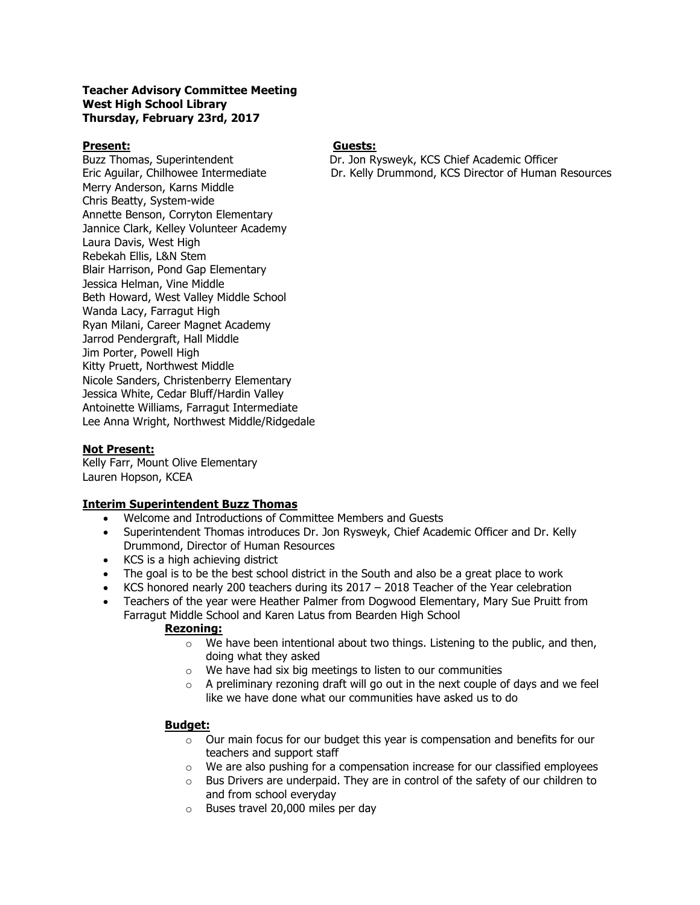#### **Teacher Advisory Committee Meeting West High School Library Thursday, February 23rd, 2017**

#### **Present: Guests:**

Merry Anderson, Karns Middle Chris Beatty, System-wide Annette Benson, Corryton Elementary Jannice Clark, Kelley Volunteer Academy Laura Davis, West High Rebekah Ellis, L&N Stem Blair Harrison, Pond Gap Elementary Jessica Helman, Vine Middle Beth Howard, West Valley Middle School Wanda Lacy, Farragut High Ryan Milani, Career Magnet Academy Jarrod Pendergraft, Hall Middle Jim Porter, Powell High Kitty Pruett, Northwest Middle Nicole Sanders, Christenberry Elementary Jessica White, Cedar Bluff/Hardin Valley Antoinette Williams, Farragut Intermediate Lee Anna Wright, Northwest Middle/Ridgedale

Buzz Thomas, Superintendent Dr. Jon Rysweyk, KCS Chief Academic Officer Eric Aguilar, Chilhowee Intermediate Dr. Kelly Drummond, KCS Director of Human Resources

## **Not Present:**

Kelly Farr, Mount Olive Elementary Lauren Hopson, KCEA

### **Interim Superintendent Buzz Thomas**

- Welcome and Introductions of Committee Members and Guests
- Superintendent Thomas introduces Dr. Jon Rysweyk, Chief Academic Officer and Dr. Kelly Drummond, Director of Human Resources
- KCS is a high achieving district
- The goal is to be the best school district in the South and also be a great place to work
- KCS honored nearly 200 teachers during its 2017 2018 Teacher of the Year celebration
- Teachers of the year were Heather Palmer from Dogwood Elementary, Mary Sue Pruitt from Farragut Middle School and Karen Latus from Bearden High School

### **Rezoning:**

- $\circ$  We have been intentional about two things. Listening to the public, and then, doing what they asked
- o We have had six big meetings to listen to our communities
- $\circ$  A preliminary rezoning draft will go out in the next couple of days and we feel like we have done what our communities have asked us to do

### **Budget:**

- $\circ$  Our main focus for our budget this year is compensation and benefits for our teachers and support staff
- $\circ$  We are also pushing for a compensation increase for our classified employees
- o Bus Drivers are underpaid. They are in control of the safety of our children to and from school everyday
- o Buses travel 20,000 miles per day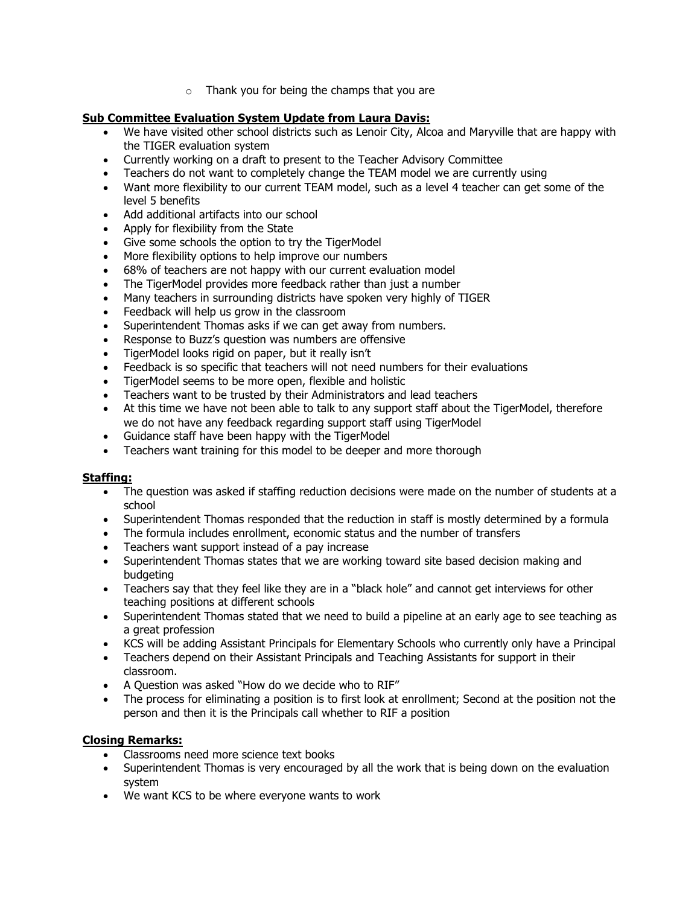$\circ$  Thank you for being the champs that you are

# **Sub Committee Evaluation System Update from Laura Davis:**

- We have visited other school districts such as Lenoir City, Alcoa and Maryville that are happy with the TIGER evaluation system
- Currently working on a draft to present to the Teacher Advisory Committee
- Teachers do not want to completely change the TEAM model we are currently using
- Want more flexibility to our current TEAM model, such as a level 4 teacher can get some of the level 5 benefits
- Add additional artifacts into our school
- Apply for flexibility from the State
- Give some schools the option to try the TigerModel
- More flexibility options to help improve our numbers
- 68% of teachers are not happy with our current evaluation model
- The TigerModel provides more feedback rather than just a number
- Many teachers in surrounding districts have spoken very highly of TIGER
- Feedback will help us grow in the classroom
- Superintendent Thomas asks if we can get away from numbers.
- Response to Buzz's question was numbers are offensive
- TigerModel looks rigid on paper, but it really isn't
- Feedback is so specific that teachers will not need numbers for their evaluations
- TigerModel seems to be more open, flexible and holistic
- Teachers want to be trusted by their Administrators and lead teachers
- At this time we have not been able to talk to any support staff about the TigerModel, therefore we do not have any feedback regarding support staff using TigerModel
- Guidance staff have been happy with the TigerModel
- Teachers want training for this model to be deeper and more thorough

# **Staffing:**

- The question was asked if staffing reduction decisions were made on the number of students at a school
- Superintendent Thomas responded that the reduction in staff is mostly determined by a formula
- The formula includes enrollment, economic status and the number of transfers
- Teachers want support instead of a pay increase
- Superintendent Thomas states that we are working toward site based decision making and budgeting
- Teachers say that they feel like they are in a "black hole" and cannot get interviews for other teaching positions at different schools
- Superintendent Thomas stated that we need to build a pipeline at an early age to see teaching as a great profession
- KCS will be adding Assistant Principals for Elementary Schools who currently only have a Principal
- Teachers depend on their Assistant Principals and Teaching Assistants for support in their classroom.
- A Question was asked "How do we decide who to RIF"
- The process for eliminating a position is to first look at enrollment; Second at the position not the person and then it is the Principals call whether to RIF a position

### **Closing Remarks:**

- Classrooms need more science text books
- Superintendent Thomas is very encouraged by all the work that is being down on the evaluation system
- We want KCS to be where everyone wants to work